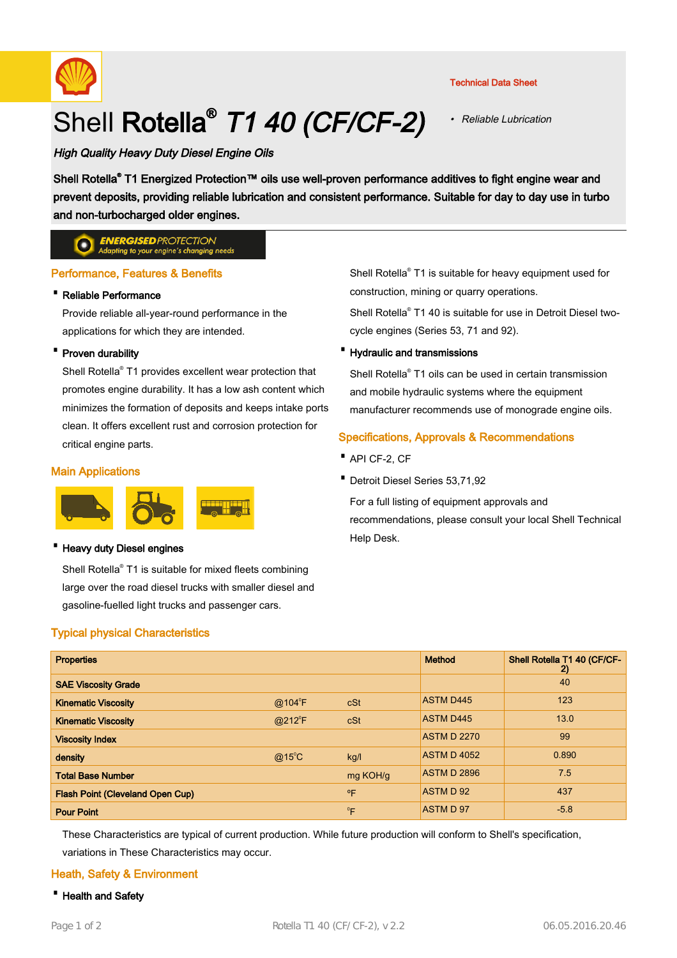

# Shell Rotella<sup>®</sup> T1 40 (CF/CF-2)

#### Technical Data Sheet

• Reliable Lubrication

# High Quality Heavy Duty Diesel Engine Oils

Shell Rotella® T1 Energized Protection™ oils use well-proven performance additives to fight engine wear and prevent deposits, providing reliable lubrication and consistent performance. Suitable for day to day use in turbo and non-turbocharged older engines.

#### **ENERGISED PROTECTION**  $\bullet$ ing to your engine's changing needs

# Performance, Features & Benefits

# · Reliable Performance

Provide reliable all-year-round performance in the applications for which they are intended.

#### · Proven durability

Shell Rotella® T1 provides excellent wear protection that promotes engine durability. It has a low ash content which minimizes the formation of deposits and keeps intake ports clean. It offers excellent rust and corrosion protection for critical engine parts.

# Main Applications



#### **Heavy duty Diesel engines**

Shell Rotella® T1 is suitable for mixed fleets combining large over the road diesel trucks with smaller diesel and gasoline-fuelled light trucks and passenger cars.

# Typical physical Characteristics

Shell Rotella® T1 is suitable for heavy equipment used for construction, mining or quarry operations.

Shell Rotella® T1 40 is suitable for use in Detroit Diesel twocycle engines (Series 53, 71 and 92).

#### · Hydraulic and transmissions

Shell Rotella® T1 oils can be used in certain transmission and mobile hydraulic systems where the equipment manufacturer recommends use of monograde engine oils.

# Specifications, Approvals & Recommendations

- · API CF-2, CF
- · Detroit Diesel Series 53,71,92

For a full listing of equipment approvals and recommendations, please consult your local Shell Technical Help Desk.

| <b>Properties</b>                       |                 |              | <b>Method</b>      | Shell Rotella T1 40 (CF/CF-<br>2) |
|-----------------------------------------|-----------------|--------------|--------------------|-----------------------------------|
| <b>SAE Viscosity Grade</b>              |                 |              |                    | 40                                |
| <b>Kinematic Viscosity</b>              | $@104^{\circ}F$ | cSt          | <b>ASTM D445</b>   | 123                               |
| <b>Kinematic Viscosity</b>              | $@212^{\circ}F$ | cSt          | <b>ASTM D445</b>   | 13.0                              |
| <b>Viscosity Index</b>                  |                 |              | <b>ASTM D 2270</b> | 99                                |
| density                                 | $@15^{\circ}$ C | kg/l         | <b>ASTM D 4052</b> | 0.890                             |
| <b>Total Base Number</b>                |                 | mg KOH/g     | <b>ASTM D 2896</b> | 7.5                               |
| <b>Flash Point (Cleveland Open Cup)</b> |                 | $^{\circ}$ F | ASTM D 92          | 437                               |
| <b>Pour Point</b>                       |                 | $^0$ F       | ASTM D 97          | $-5.8$                            |

These Characteristics are typical of current production. While future production will conform to Shell's specification, variations in These Characteristics may occur.

# Heath, Safety & Environment

· Health and Safety